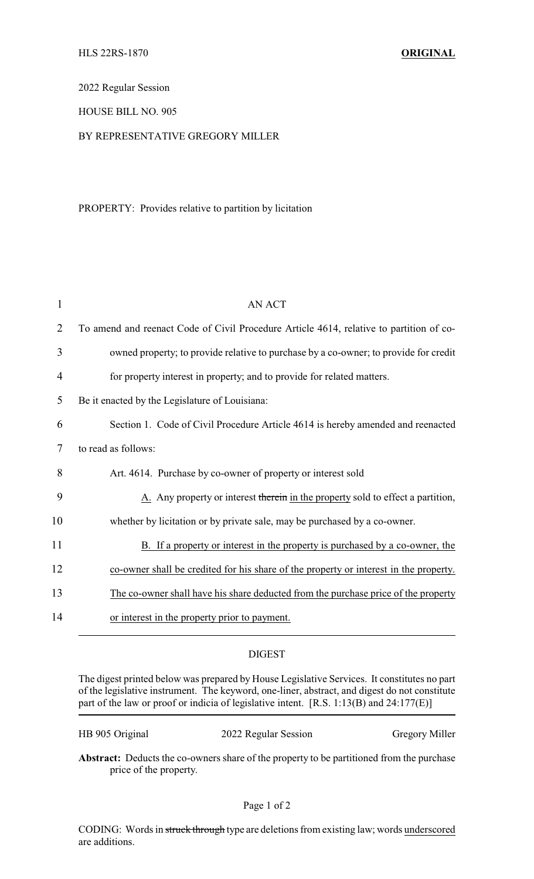2022 Regular Session

## HOUSE BILL NO. 905

## BY REPRESENTATIVE GREGORY MILLER

## PROPERTY: Provides relative to partition by licitation

| 1              | <b>AN ACT</b>                                                                           |
|----------------|-----------------------------------------------------------------------------------------|
| $\overline{2}$ | To amend and reenact Code of Civil Procedure Article 4614, relative to partition of co- |
| 3              | owned property; to provide relative to purchase by a co-owner; to provide for credit    |
| 4              | for property interest in property; and to provide for related matters.                  |
| 5              | Be it enacted by the Legislature of Louisiana:                                          |
| 6              | Section 1. Code of Civil Procedure Article 4614 is hereby amended and reenacted         |
| 7              | to read as follows:                                                                     |
| 8              | Art. 4614. Purchase by co-owner of property or interest sold                            |
| 9              | A. Any property or interest therein in the property sold to effect a partition,         |
| 10             | whether by licitation or by private sale, may be purchased by a co-owner.               |
| 11             | B. If a property or interest in the property is purchased by a co-owner, the            |
| 12             | co-owner shall be credited for his share of the property or interest in the property.   |
| 13             | The co-owner shall have his share deducted from the purchase price of the property      |
| 14             | or interest in the property prior to payment.                                           |

## DIGEST

The digest printed below was prepared by House Legislative Services. It constitutes no part of the legislative instrument. The keyword, one-liner, abstract, and digest do not constitute part of the law or proof or indicia of legislative intent. [R.S. 1:13(B) and 24:177(E)]

HB 905 Original 2022 Regular Session Gregory Miller

**Abstract:** Deducts the co-owners share of the property to be partitioned from the purchase price of the property.